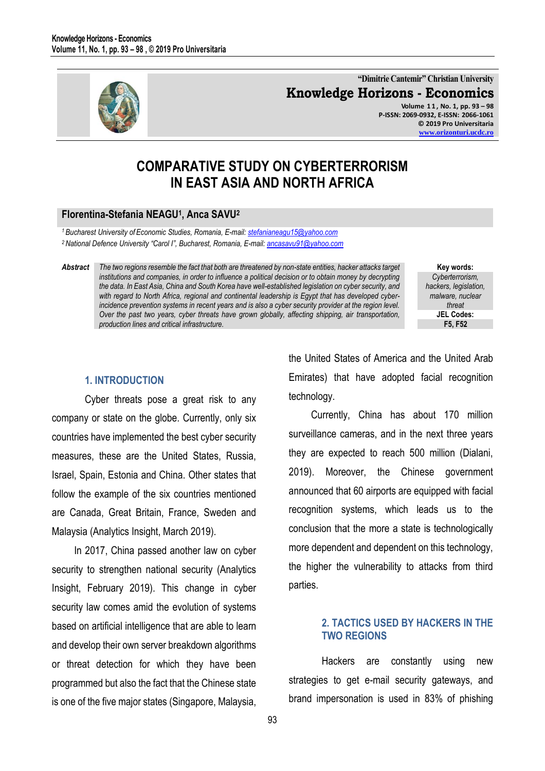

**"Dimitrie Cantemir" Christian University Knowledge Horizons - Economics Volume 1 1 , No. 1, pp. 93 – 98 P-ISSN: 2069-0932, E-ISSN: 2066-1061 © 2019 Pro Universitaria [www.orizonturi.ucdc.ro](http://www.orizonturi.ucdc.ro/)**

# **COMPARATIVE STUDY ON CYBERTERRORISM IN EAST ASIA AND NORTH AFRICA**

#### **Florentina-Stefania NEAGU<sup>1</sup> , Anca SAVU<sup>2</sup>**

*<sup>1</sup> Bucharest University of Economic Studies, Romania, E-mail[: stefanianeagu15@yahoo.com](mailto:stefanianeagu15@yahoo.com)  <sup>2</sup>National Defence University "Carol I", Bucharest, Romania, E-mail[: ancasavu91@yahoo.com](mailto:ancasavu91@yahoo.com)* 

*Abstract The two regions resemble the fact that both are threatened by non-state entities, hacker attacks target institutions and companies, in order to influence a political decision or to obtain money by decrypting the data. In East Asia, China and South Korea have well-established legislation on cyber security, and with regard to North Africa, regional and continental leadership is Egypt that has developed cyberincidence prevention systems in recent years and is also a cyber security provider at the region level. Over the past two years, cyber threats have grown globally, affecting shipping, air transportation, production lines and critical infrastructure.*

**Key words:** *Cyberterrorism, hackers, legislation, malware, nuclear threat* **JEL Codes: F5, F52**

#### **1. INTRODUCTION**

Cyber threats pose a great risk to any company or state on the globe. Currently, only six countries have implemented the best cyber security measures, these are the United States, Russia, Israel, Spain, Estonia and China. Other states that follow the example of the six countries mentioned are Canada, Great Britain, France, Sweden and Malaysia (Analytics Insight, March 2019).

In 2017, China passed another law on cyber security to strengthen national security (Analytics Insight, February 2019). This change in cyber security law comes amid the evolution of systems based on artificial intelligence that are able to learn and develop their own server breakdown algorithms or threat detection for which they have been programmed but also the fact that the Chinese state is one of the five major states (Singapore, Malaysia,

the United States of America and the United Arab Emirates) that have adopted facial recognition technology.

Currently, China has about 170 million surveillance cameras, and in the next three years they are expected to reach 500 million (Dialani, 2019). Moreover, the Chinese government announced that 60 airports are equipped with facial recognition systems, which leads us to the conclusion that the more a state is technologically more dependent and dependent on this technology, the higher the vulnerability to attacks from third parties.

#### **2. TACTICS USED BY HACKERS IN THE TWO REGIONS**

Hackers are constantly using new strategies to get e-mail security gateways, and brand impersonation is used in 83% of phishing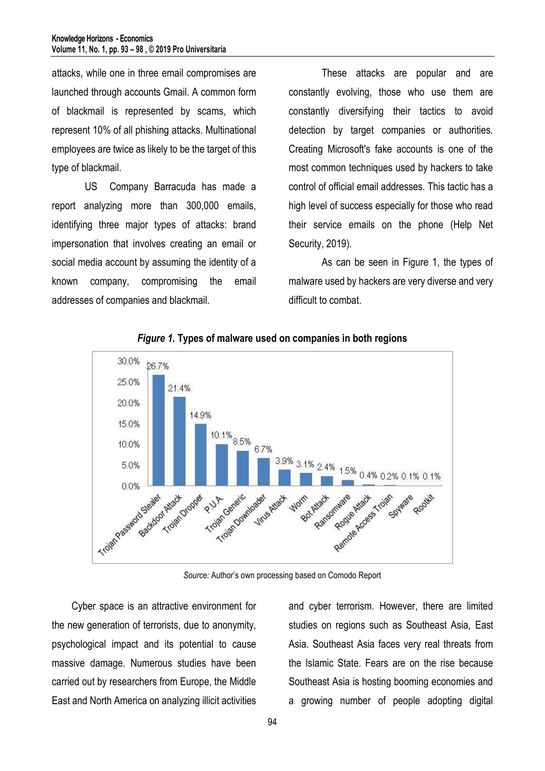attacks, while one in three email compromises are launched through accounts Gmail. A common form of blackmail is represented by scams, which represent 10% of all phishing attacks. Multinational employees are twice as likely to be the target of this type of blackmail.

US Company Barracuda has made a report analyzing more than 300,000 emails, identifying three major types of attacks: brand impersonation that involves creating an email or social media account by assuming the identity of a known company, compromising the email addresses of companies and blackmail.

These attacks are popular and are constantly evolving, those who use them are constantly diversifying their tactics to avoid detection by target companies or authorities. Creating Microsoft's fake accounts is one of the most common techniques used by hackers to take control of official email addresses. This tactic has a high level of success especially for those who read their service emails on the phone (Help Net Security, 2019).

As can be seen in Figure 1, the types of malware used by hackers are very diverse and very difficult to combat.



*Figure 1.* **Types of malware used on companies in both regions**

*Source:* Author's own processing based on Comodo Report

Cyber space is an attractive environment for the new generation of terrorists, due to anonymity, psychological impact and its potential to cause massive damage. Numerous studies have been carried out by researchers from Europe, the Middle East and North America on analyzing illicit activities

and cyber terrorism. However, there are limited studies on regions such as Southeast Asia, East Asia. Southeast Asia faces very real threats from the Islamic State. Fears are on the rise because Southeast Asia is hosting booming economies and a growing number of people adopting digital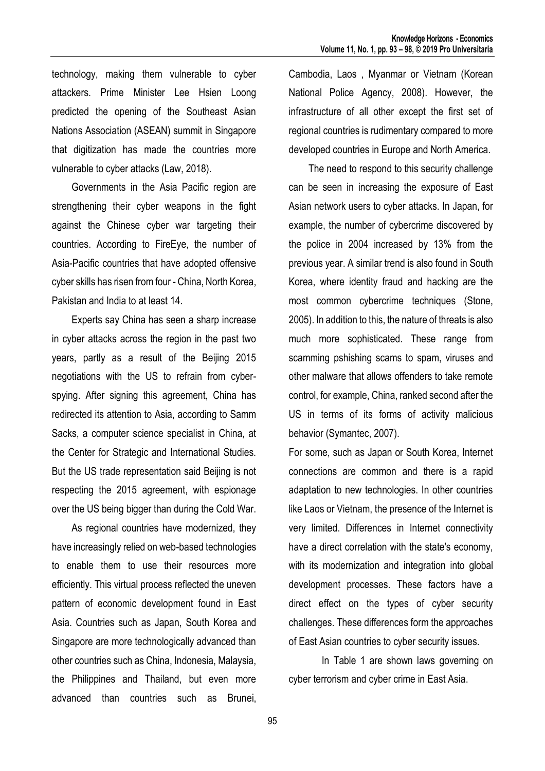technology, making them vulnerable to cyber attackers. Prime Minister Lee Hsien Loong predicted the opening of the Southeast Asian Nations Association (ASEAN) summit in Singapore that digitization has made the countries more vulnerable to cyber attacks (Law, 2018).

Governments in the Asia Pacific region are strengthening their cyber weapons in the fight against the Chinese cyber war targeting their countries. According to FireEye, the number of Asia-Pacific countries that have adopted offensive cyber skills has risen from four - China, North Korea, Pakistan and India to at least 14.

Experts say China has seen a sharp increase in cyber attacks across the region in the past two years, partly as a result of the Beijing 2015 negotiations with the US to refrain from cyberspying. After signing this agreement, China has redirected its attention to Asia, according to Samm Sacks, a computer science specialist in China, at the Center for Strategic and International Studies. But the US trade representation said Beijing is not respecting the 2015 agreement, with espionage over the US being bigger than during the Cold War.

As regional countries have modernized, they have increasingly relied on web-based technologies to enable them to use their resources more efficiently. This virtual process reflected the uneven pattern of economic development found in East Asia. Countries such as Japan, South Korea and Singapore are more technologically advanced than other countries such as China, Indonesia, Malaysia, the Philippines and Thailand, but even more advanced than countries such as Brunei, Cambodia, Laos , Myanmar or Vietnam (Korean National Police Agency, 2008). However, the infrastructure of all other except the first set of regional countries is rudimentary compared to more developed countries in Europe and North America.

The need to respond to this security challenge can be seen in increasing the exposure of East Asian network users to cyber attacks. In Japan, for example, the number of cybercrime discovered by the police in 2004 increased by 13% from the previous year. A similar trend is also found in South Korea, where identity fraud and hacking are the most common cybercrime techniques (Stone, 2005). In addition to this, the nature of threats is also much more sophisticated. These range from scamming pshishing scams to spam, viruses and other malware that allows offenders to take remote control, for example, China, ranked second after the US in terms of its forms of activity malicious behavior (Symantec, 2007).

For some, such as Japan or South Korea, Internet connections are common and there is a rapid adaptation to new technologies. In other countries like Laos or Vietnam, the presence of the Internet is very limited. Differences in Internet connectivity have a direct correlation with the state's economy, with its modernization and integration into global development processes. These factors have a direct effect on the types of cyber security challenges. These differences form the approaches of East Asian countries to cyber security issues.

In Table 1 are shown laws governing on cyber terrorism and cyber crime in East Asia.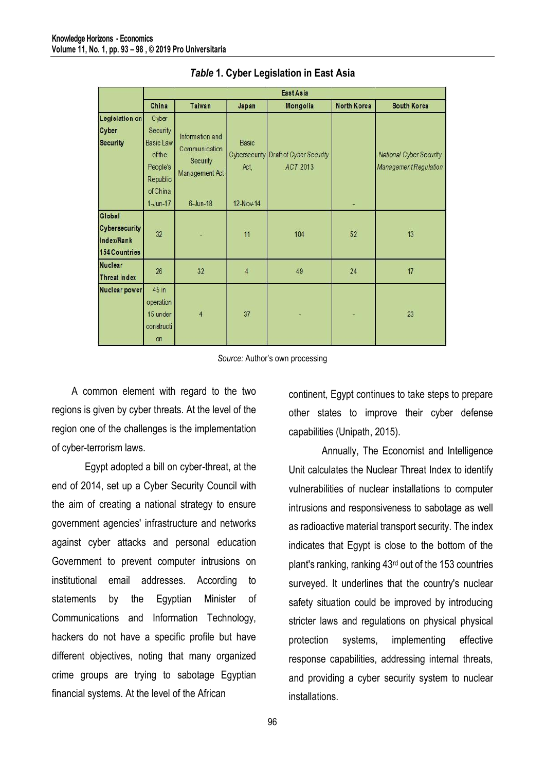|                                                        | East Asia                                                                          |                                                                |                      |                                                   |             |                                                         |  |  |  |  |
|--------------------------------------------------------|------------------------------------------------------------------------------------|----------------------------------------------------------------|----------------------|---------------------------------------------------|-------------|---------------------------------------------------------|--|--|--|--|
|                                                        | China                                                                              | Taiwan                                                         | Japan                | Mongolia                                          | North Korea | South Korea                                             |  |  |  |  |
| Legislation on<br>Cyber<br><b>Security</b>             | Cyber<br>Security<br><b>Basic Law</b><br>ofthe<br>People's<br>Republic<br>of China | Information and<br>Communication<br>Security<br>Management Act | <b>Basic</b><br>Act, | Cybersecurity Draft of Cyber Security<br>ACT 2013 |             | National Cyber Security<br><b>Management Regulation</b> |  |  |  |  |
|                                                        | $1$ -Jun-17                                                                        | $6$ -Jun-18                                                    | 12-Nov-14            |                                                   | ٠           |                                                         |  |  |  |  |
| Global<br>Cybersecurity<br>Index/Rank<br>154 Countries | 32                                                                                 |                                                                | 11                   | 104                                               | 52          | 13                                                      |  |  |  |  |
| <b>Nuclear</b><br><b>Threat Index</b>                  | 26                                                                                 | 32                                                             | $\overline{4}$       | 49                                                | 24          | 17                                                      |  |  |  |  |
| Nuclear power                                          | 45 in<br>operation<br>15 under<br>constructi<br><b>on</b>                          | $\overline{4}$                                                 | 37                   |                                                   |             | 23                                                      |  |  |  |  |

#### *Table* **1. Cyber Legislation in East Asia**

*Source:* Author's own processing

A common element with regard to the two regions is given by cyber threats. At the level of the region one of the challenges is the implementation of cyber-terrorism laws.

Egypt adopted a bill on cyber-threat, at the end of 2014, set up a Cyber Security Council with the aim of creating a national strategy to ensure government agencies' infrastructure and networks against cyber attacks and personal education Government to prevent computer intrusions on institutional email addresses. According to statements by the Egyptian Minister of Communications and Information Technology, hackers do not have a specific profile but have different objectives, noting that many organized crime groups are trying to sabotage Egyptian financial systems. At the level of the African

continent, Egypt continues to take steps to prepare other states to improve their cyber defense capabilities (Unipath, 2015).

Annually, The Economist and Intelligence Unit calculates the Nuclear Threat Index to identify vulnerabilities of nuclear installations to computer intrusions and responsiveness to sabotage as well as radioactive material transport security. The index indicates that Egypt is close to the bottom of the plant's ranking, ranking 43rd out of the 153 countries surveyed. It underlines that the country's nuclear safety situation could be improved by introducing stricter laws and regulations on physical physical protection systems, implementing effective response capabilities, addressing internal threats, and providing a cyber security system to nuclear installations.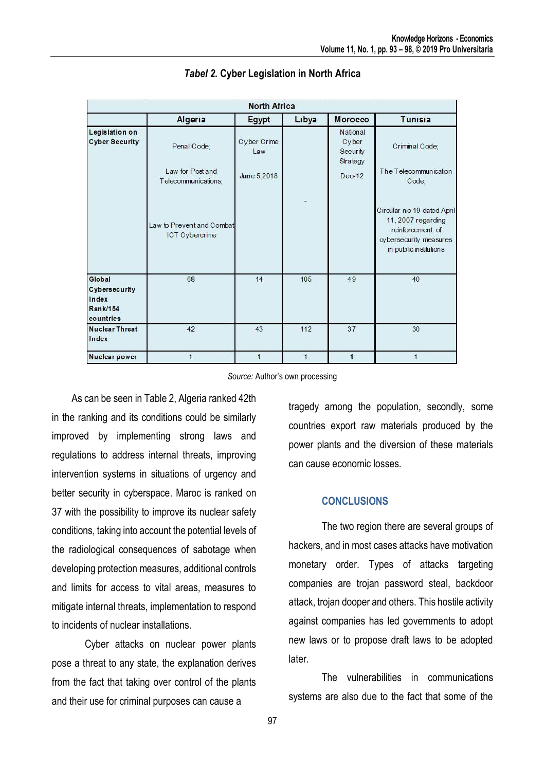| <b>North Africa</b>                                              |                                                        |                                   |              |                                                       |                                                                                                                          |  |  |  |  |
|------------------------------------------------------------------|--------------------------------------------------------|-----------------------------------|--------------|-------------------------------------------------------|--------------------------------------------------------------------------------------------------------------------------|--|--|--|--|
|                                                                  | Algeria                                                | Egypt                             | Libya        | Morocco                                               | <b>Tunisia</b>                                                                                                           |  |  |  |  |
| Legislation on<br><b>Cyber Security</b>                          | Penal Code:<br>Law for Post and<br>Telecommunications; | Cyber Crime<br>Law<br>June 5,2018 |              | National<br>Cyber<br>Security<br>Strategy<br>$Dec-12$ | Criminal Code;<br>The Telecommunication<br>Code;                                                                         |  |  |  |  |
|                                                                  | Law to Prevent and Combat<br><b>ICT Cybercrime</b>     |                                   |              |                                                       | Circular no 19 dated April<br>11, 2007 regarding<br>reinforcement of<br>cybersecurity measures<br>in public institutions |  |  |  |  |
| Global<br>Cybersecurity<br>Index<br><b>Rank/154</b><br>countries | 68                                                     | 14                                | 105          | 49                                                    | 40                                                                                                                       |  |  |  |  |
| <b>Nuclear Threat</b><br>Index                                   | 42                                                     | 43                                | 112          | 37                                                    | 30                                                                                                                       |  |  |  |  |
| Nuclear power                                                    |                                                        | 1                                 | $\mathbf{1}$ | 1                                                     |                                                                                                                          |  |  |  |  |

### *Tabel 2.* **Cyber Legislation in North Africa**

*Source:* Author's own processing

As can be seen in Table 2, Algeria ranked 42th in the ranking and its conditions could be similarly improved by implementing strong laws and regulations to address internal threats, improving intervention systems in situations of urgency and better security in cyberspace. Maroc is ranked on 37 with the possibility to improve its nuclear safety conditions, taking into account the potential levels of the radiological consequences of sabotage when developing protection measures, additional controls and limits for access to vital areas, measures to mitigate internal threats, implementation to respond to incidents of nuclear installations.

Cyber attacks on nuclear power plants pose a threat to any state, the explanation derives from the fact that taking over control of the plants and their use for criminal purposes can cause a

tragedy among the population, secondly, some countries export raw materials produced by the power plants and the diversion of these materials can cause economic losses.

## **CONCLUSIONS**

The two region there are several groups of hackers, and in most cases attacks have motivation monetary order. Types of attacks targeting companies are trojan password steal, backdoor attack, trojan dooper and others. This hostile activity against companies has led governments to adopt new laws or to propose draft laws to be adopted later.

The vulnerabilities in communications systems are also due to the fact that some of the